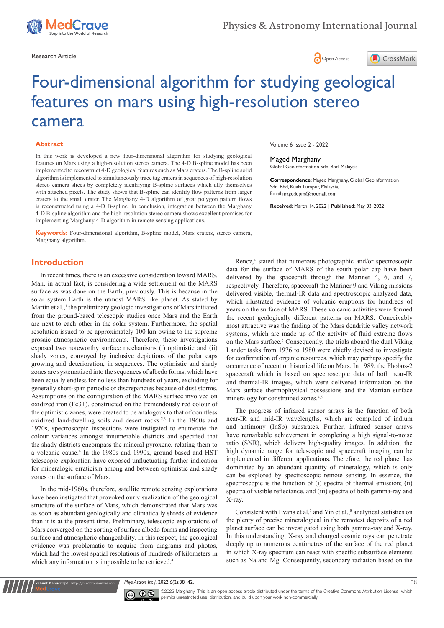





# Four-dimensional algorithm for studying geological features on mars using high-resolution stereo camera

#### **Abstract**

In this work is developed a new four-dimensional algorithm for studying geological features on Mars using a high-resolution stereo camera. The 4-D B-spline model has been implemented to reconstruct 4-D geological features such as Mars craters. The B-spline solid algorithm is implemented to simultaneously trace tag craters in sequences of high-resolution stereo camera slices by completely identifying B-spline surfaces which ally themselves with attached pixels. The study shows that B-spline can identify flow patterns from larger craters to the small crater. The Marghany 4-D algorithm of great polygon pattern flows is reconstructed using a 4-D B-spline. In conclusion, integration between the Marghany 4-D B-spline algorithm and the high-resolution stereo camera shows excellent promises for implementing Marghany 4-D algorithm in remote sensing applications.

**Keywords:** Four-dimensional algorithm, B-spline model, Mars craters, stereo camera, Marghany algorithm.

Volume 6 Issue 2 - 2022

Maged Marghany Global Geoinformation Sdn. Bhd, Malaysia

**Correspondence:** Maged Marghany, Global Geoinformation Sdn. Bhd, Kuala Lumpur, Malaysia, Email magedupm@hotmail.com

**Received:** March 14, 2022 | **Published:** May 03, 2022

# **Introduction**

In recent times, there is an excessive consideration toward MARS. Man, in actual fact, is considering a wide settlement on the MARS surface as was done on the Earth, previously. This is because in the solar system Earth is the utmost MARS like planet. As stated by Martin et al.,<sup>1</sup> the preliminary geologic investigations of Mars initiated from the ground-based telescopic studies once Mars and the Earth are next to each other in the solar system. Furthermore, the spatial resolution issued to be approximately 100 km owing to the supreme prosaic atmospheric environments. Therefore, these investigations exposed two noteworthy surface mechanisms (i) optimistic and (ii) shady zones, convoyed by inclusive depictions of the polar caps growing and deterioration, in sequences. The optimistic and shady zones are systematized into the sequences of albedo forms, which have been equally endless for no less than hundreds of years, excluding for generally short-span periodic or discrepancies because of dust storms. Assumptions on the configuration of the MARS surface involved on oxidized iron (Fe3+), constructed on the tremendously red colour of the optimistic zones, were created to be analogous to that of countless oxidized land-dwelling soils and desert rocks.<sup>2,3</sup> In the 1960s and 1970s, spectroscopic inspections were instigated to enumerate the colour variances amongst innumerable districts and specified that the shady districts encompass the mineral pyroxene, relating them to a volcanic cause.<sup>4</sup> In the 1980s and 1990s, ground-based and HST telescopic exploration have exposed unfluctuating further indication for mineralogic erraticism among and between optimistic and shady zones on the surface of Mars.

In the mid-1960s, therefore, satellite remote sensing explorations have been instigated that provoked our visualization of the geological structure of the surface of Mars, which demonstrated that Mars was as soon as abundant geologically and climatically shreds of evidence than it is at the present time. Preliminary, telescopic explorations of Mars converged on the sorting of surface albedo forms and inspecting surface and atmospheric changeability. In this respect, the geological evidence was problematic to acquire from diagrams and photos, which had the lowest spatial resolutions of hundreds of kilometers in which any information is impossible to be retrieved.<sup>4</sup>

**it Manuscript** | http://medcraveonline.co

Rencz,<sup>4</sup> stated that numerous photographic and/or spectroscopic data for the surface of MARS of the south polar cap have been delivered by the spacecraft through the Mariner 4, 6, and 7, respectively. Therefore, spacecraft the Mariner 9 and Viking missions delivered visible, thermal-IR data and spectroscopic analyzed data, which illustrated evidence of volcanic eruptions for hundreds of years on the surface of MARS. These volcanic activities were formed the recent geologically different patterns on MARS. Conceivably most attractive was the finding of the Mars dendritic valley network systems, which are made up of the activity of fluid extreme flows on the Mars surface.<sup>5</sup> Consequently, the trials aboard the dual Viking Lander tasks from 1976 to 1980 were chiefly devised to investigate for confirmation of organic resources, which may perhaps specify the occurrence of recent or historical life on Mars. In 1989, the Phobos-2 spacecraft which is based on spectroscopic data of both near-IR and thermal-IR images, which were delivered information on the Mars surface thermophysical possessions and the Martian surface mineralogy for constrained zones.<sup>4,6</sup>

The progress of infrared sensor arrays is the function of both near-IR and mid-IR wavelengths, which are compiled of indium and antimony (InSb) substrates. Further, infrared sensor arrays have remarkable achievement in completing a high signal-to-noise ratio (SNR), which delivers high-quality images. In addition, the high dynamic range for telescopic and spacecraft imaging can be implemented in different applications. Therefore, the red planet has dominated by an abundant quantity of mineralogy, which is only can be explored by spectroscopic remote sensing. In essence, the spectroscopic is the function of (i) spectra of thermal emission; (ii) spectra of visible reflectance, and (iii) spectra of both gamma-ray and X-ray.

Consistent with Evans et al.<sup>7</sup> and Yin et al.,<sup>8</sup> analytical statistics on the plenty of precise mineralogical in the remotest deposits of a red planet surface can be investigated using both gamma-ray and X-ray. In this understanding, X-ray and charged cosmic rays can penetrate deeply up to numerous centimetres of the surface of the red planet in which X-ray spectrum can react with specific subsurface elements such as Na and Mg. Consequently, secondary radiation based on the

*Phys Astron Int J.* 2022;6(2):38‒42. 38



 $\overline{\mathbf{c}}$   $\overline{\mathbf{c}}$   $\odot$  2022 Marghany. This is an open access article distributed under the terms of the Creative Commons Attribution License, which permits unrestricted use, distribution, and build upon your work non-commercially.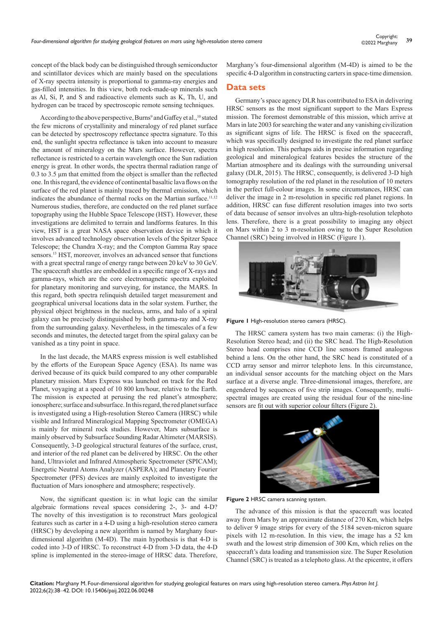concept of the black body can be distinguished through semiconductor and scintillator devices which are mainly based on the speculations of X-ray spectra intensity is proportional to gamma-ray energies and gas-filled intensities. In this view, both rock-made-up minerals such as Al, Si, P, and S and radioactive elements such as K, Th, U, and hydrogen can be traced by spectroscopic remote sensing techniques.

According to the above perspective, Burns<sup>9</sup> and Gaffey et al.,<sup>10</sup> stated the few microns of crystallinity and mineralogy of red planet surface can be detected by spectroscopy reflectance spectra signature. To this end, the sunlight spectra reflectance is taken into account to measure the amount of mineralogy on the Mars surface. However, spectra reflectance is restricted to a certain wavelength once the Sun radiation energy is great. In other words, the spectra thermal radiation range of 0.3 to 3.5 µm that emitted from the object is smaller than the reflected one. In this regard, the evidence of continental basaltic lava flows on the surface of the red planet is mainly traced by thermal emission, which indicates the abundance of thermal rocks on the Martian surface.<sup>11,12</sup> Numerous studies, therefore, are conducted on the red planet surface topography using the Hubble Space Telescope (HST). However, these investigations are delimited to terrain and landforms features. In this view, HST is a great NASA space observation device in which it involves advanced technology observation levels of the Spitzer Space Telescope; the Chandra X-ray; and the Compton Gamma Ray space sensors.13 HST, moreover, involves an advanced sensor that functions with a great spectral range of energy range between 20 [keV](https://en.wikipedia.org/wiki/Electronvolt) to 30 GeV. The spacecraft shuttles are embedded in a specific range of X-rays and gamma-rays, which are the core electromagnetic spectra exploited for planetary monitoring and surveying, for instance, the MARS. In this regard, both spectra relinquish detailed target measurement and geographical universal locations data in the solar system. Further, the physical object brightness in the nucleus, arms, and halo of a spiral galaxy can be precisely distinguished by both gamma-ray and X-ray from the surrounding galaxy. Nevertheless, in the timescales of a few seconds and minutes, the detected target from the spiral galaxy can be vanished as a tiny point in space.

In the last decade, the MARS express mission is well established by the efforts of the European Space Agency (ESA). Its name was derived because of its quick build compared to any other comparable planetary mission. Mars Express was launched on track for the Red Planet, voyaging at a speed of 10 800 km/hour, relative to the Earth. The mission is expected at perusing the red planet's atmosphere; ionosphere; surface and subsurface. In this regard, the red planet surface is investigated using a High-resolution Stereo Camera (HRSC) while visible and Infrared Mineralogical Mapping Spectrometer (OMEGA) is mainly for mineral rock studies. However, Mars subsurface is mainly observed by Subsurface Sounding Radar Altimeter (MARSIS). Consequently, 3-D geological structural features of the surface, crust, and interior of the red planet can be delivered by HRSC. On the other hand, Ultraviolet and Infrared Atmospheric Spectrometer (SPICAM); Energetic Neutral Atoms Analyzer (ASPERA); and Planetary Fourier Spectrometer (PFS) devices are mainly exploited to investigate the fluctuation of Mars ionosphere and atmosphere; respectively.

Now, the significant question is: in what logic can the similar algebraic formations reveal spaces considering 2-, 3- and 4-D? The novelty of this investigation is to reconstruct Mars geological features such as carter in a 4-D using a high-resolution stereo camera (HRSC) by developing a new algorithm is named by Marghany fourdimensional algorithm (M-4D). The main hypothesis is that 4-D is coded into 3-D of HRSC. To reconstruct 4-D from 3-D data, the 4-D spline is implemented in the stereo-image of HRSC data. Therefore,

Marghany's four-dimensional algorithm (M-4D) is aimed to be the specific 4-D algorithm in constructing carters in space-time dimension.

#### **Data sets**

Germany's space agency DLR has contributed to ESA in delivering HRSC sensors as the most significant support to the Mars Express mission. The foremost demonstrable of this mission, which arrive at Mars in late 2003 for searching the water and any vanishing civilization as significant signs of life. The HRSC is fixed on the spacecraft, which was specifically designed to investigate the red planet surface in high resolution. This perhaps aids in precise information regarding geological and mineralogical features besides the structure of the Martian atmosphere and its dealings with the surrounding universal galaxy (DLR, 2015). The HRSC, consequently, is delivered 3-D high tomography resolution of the red planet in the resolution of 10 meters in the perfect full-colour images. In some circumstances, HRSC can deliver the image in 2 m-resolution in specific red planet regions. In addition, HRSC can fuse different resolution images into two sorts of data because of sensor involves an ultra-high-resolution telephoto lens. Therefore, there is a great possibility to imaging any object on Mars within 2 to 3 m-resolution owing to the Super Resolution Channel (SRC) being involved in HRSC (Figure 1).



**Figure 1** High-resolution stereo camera (HRSC).

The HRSC camera system has two main cameras: (i) the High-Resolution Stereo head; and (ii) the SRC head. The High-Resolution Stereo head comprises nine CCD line sensors framed analogous behind a lens. On the other hand, the SRC head is constituted of a CCD array sensor and mirror telephoto lens. In this circumstance, an individual sensor accounts for the matching object on the Mars surface at a diverse angle. Three-dimensional images, therefore, are engendered by sequences of five strip images. Consequently, multispectral images are created using the residual four of the nine-line sensors are fit out with superior colour filters (Figure 2).



**Figure 2** HRSC camera scanning system.

The advance of this mission is that the spacecraft was located away from Mars by an approximate distance of 270 Km, which helps to deliver 9 image strips for every of the 5184 seven-micron square pixels with 12 m-resolution. In this view, the image has a 52 km swath and the lowest strip dimension of 300 Km, which relies on the spacecraft's data loading and transmission size. The Super Resolution Channel (SRC) is treated as a telephoto glass. At the epicentre, it offers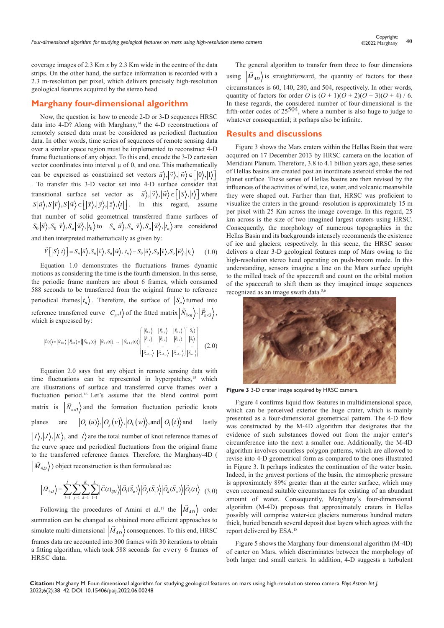coverage images of 2.3 Km *x* by 2.3 Km wide in the centre of the data strips. On the other hand, the surface information is recorded with a 2.3 m-resolution per pixel, which delivers precisely high-resolution geological features acquired by the stereo head.

## **Marghany four-dimensional algorithm**

Now, the question is: how to encode 2-D or 3-D sequences HRSC data into  $4-D$ ? Along with Marghany,<sup>14</sup> the  $4-D$  reconstructions of remotely sensed data must be considered as periodical fluctuation data. In other words, time series of sequences of remote sensing data over a similar space region must be implemented to reconstruct 4-D frame fluctuations of any object. To this end, encode the 3-D cartesian vector coordinates into interval  $\mu$  of 0, and one. This mathematically can be expressed as constrained set vectors  $|\vec{u}\rangle, |\vec{v}\rangle, |\vec{w}\rangle \in [0,1]$ . To transfer this 3-D vector set into 4-D surface consider that transitional surface set vector as  $|\vec{u}\rangle, |\vec{v}\rangle, |\vec{w}\rangle \in [|S\rangle, |t\rangle]$  where  $S|\vec{u}\rangle, S|\vec{v}\rangle, S|\vec{w}\rangle \in [|\vec{x}\rangle, |\vec{y}\rangle, |\vec{z}\rangle, \langle t|].$  In this regard, assume that number of solid geometrical transferred frame surfaces of  $S_0|\vec{u}\rangle, S_0|\vec{v}\rangle, S_o|\vec{w}\rangle, |t_0\rangle$  to  $S_n|\vec{u}\rangle, S_n|\vec{v}\rangle, S_n|\vec{w}\rangle, |t_n\rangle$  are considered and then interpreted mathematically as given by:

$$
\vec{V} \left[ |S\rangle |t\rangle \right] = S_n |\vec{u}\rangle, S_n |\vec{v}\rangle, S_n |\vec{w}\rangle, |t_n\rangle - S_0 |\vec{u}\rangle, S_0 |\vec{v}\rangle, S_o |\vec{w}\rangle, |t_0\rangle \tag{1.0}
$$

Equation 1.0 demonstrates the fluctuations frames dynamic motions as considering the time is the fourth dimension. In this sense, the periodic frame numbers are about 6 frames, which consumed 588 seconds to be transferred from the original frame to reference periodical frames  $|t_n\rangle$ . Therefore, the surface of  $|S_n\rangle$  turned into reference transferred curve  $|C_n, t\rangle$  of the fitted matrix  $|\vec{N}_{1 \times n}\rangle \cdot |\vec{P}_{n \times 3}\rangle$ , which is expressed by:  $\approx$   $\lambda$   $\approx$   $\lambda$   $\approx$   $\frac{1}{2}$   $\frac{1}{2}$   $\frac{1}{2}$   $\frac{1}{2}$ 

$$
|\bar{c}(t)\rangle = |\bar{N}_{\text{box}}\rangle \cdot |\bar{P}_{\text{box}}\rangle = (|\bar{N}_{0,\text{p}}(t)\rangle \cdot |\bar{N}_{\text{t,p}}(t)\rangle \cdot \dots \cdot |\bar{N}_{\text{a-t,p}}(t)\rangle) \begin{bmatrix} |\bar{P}_{0,x}\rangle & |\bar{P}_{0,y}\rangle & |\bar{P}_{0,z}\rangle \\ |\bar{P}_{1,x}\rangle & |\bar{P}_{1,y}\rangle & |\bar{P}_{1,z}\rangle \\ \vdots & \vdots & \ddots & \vdots \\ |\bar{P}_{n-1,x}\rangle & |\bar{P}_{n-1,y}\rangle & |\bar{P}_{n-1,z}\rangle \end{bmatrix} |\bar{S}_{0}\rangle
$$
(2.0)

Equation 2.0 says that any object in remote sensing data with time fluctuations can be represented in hyperpatches,<sup>15</sup> which are illustrations of surface and transferred curve frames over a fluctuation period.16 Let's assume that the blend control point matrix is  $(\vec{N}_{n\times3})$  and the formation fluctuation periodic knots planes are  $|O_i(u)\rangle, |O_j(v)\rangle, |O_k(w)\rangle$ , and  $|O_l(t)\rangle$  and lastly  $|I\rangle, |J\rangle, |K\rangle$ , and  $|I\rangle$  are the total number of knot reference frames of the curve space and periodical fluctuations from the original frame to the transferred reference frames. Therefore, the Marghany-4D (  $\langle \vec{M}_{4D} \rangle$ ) object reconstruction is then formulated as:

$$
\left| \vec{M}_{4D} \right\rangle = \sum_{i=1}^{I} \sum_{j=1}^{J} \sum_{k=1}^{K} \sum_{l=1}^{L} \left| \vec{C}(t)_{ijkl} \right\rangle \left| \vec{O}_i(\vec{S}_u) \right\rangle \left| \vec{O}_j(\vec{S}_v) \right\rangle \left| \vec{O}_k(\vec{S}_w) \right\rangle \left| \vec{O}_l(t) \right\rangle \tag{3.0}
$$

Following the procedures of Amini et al.<sup>17</sup> the  $|\vec{M}_{4D}\rangle$  order summation can be changed as obtained more efficient approaches to  $s$  imulate multi-dimensional  $|\vec{M}_{4D}\rangle$  consequences. To this end, HRSC frames data are accounted into 300 frames with 30 iterations to obtain a fitting algorithm, which took 588 seconds for every 6 frames of HRSC data.

The general algorithm to transfer from three to four dimensions using  $\left|\vec{M}_{4D}\right\rangle$  is straightforward, the quantity of factors for these circumstances is 60, 140, 280, and 504, respectively. In other words, quantity of factors for order *O* is  $(O + 1)(O + 2)(O + 3)(O + 4)$  / 6. In these regards, the considered number of four-dimensional is the fifth-order codes of  $25^{504}$ , where a number is also huge to judge to whatever consequential; it perhaps also be infinite.

## **Results and discussions**

Figure 3 shows the Mars craters within the Hellas Basin that were acquired on 17 December 2013 by HRSC camera on the location of Meridiani Planum. Therefore, 3.8 to 4.1 billion years ago, these series of Hellas basins are created post an inordinate asteroid stroke the red planet surface. These series of Hellas basins are then revised by the influences of the activities of wind, ice, water, and volcanic meanwhile they were shaped out. Farther than that, HRSC was proficient to visualize the craters in the ground- resolution is approximately 15 m per pixel with 25 Km across the image coverage. In this regard, 25 km across is the size of two imagined largest craters using HRSC. Consequently, the morphology of numerous topographies in the Hellas Basin and its backgrounds intensely recommends the existence of ice and glaciers; respectively. In this scene, the HRSC sensor delivers a clear 3-D geological features map of Mars owing to the high-resolution stereo head operating on push-broom mode. In this understanding, sensors imagine a line on the Mars surface upright to the milled track of the spacecraft and count on the orbital motion of the spacecraft to shift them as they imagined image sequences recognized as an image swath data.<sup>5,6</sup>



**Figure 3** 3-D crater image acquired by HRSC camera.

Figure 4 confirms liquid flow features in multidimensional space, which can be perceived exterior the huge crater, which is mainly presented as a four-dimensional geometrical pattern. The 4-D flow was constructed by the M-4D algorithm that designates that the evidence of such substances flowed out from the major crater's circumference into the next a smaller one. Additionally, the M-4D algorithm involves countless polygon patterns, which are allowed to revise into 4-D geometrical form as compared to the ones illustrated in Figure 3. It perhaps indicates the continuation of the water basin. Indeed, in the gravest portions of the basin, the atmospheric pressure is approximately 89% greater than at the carter surface, which may even recommend suitable circumstances for existing of an abundant amount of water. Consequently, Marghany's four-dimensional algorithm (M-4D) proposes that approximately craters in Hellas possibly will comprise water-ice glaciers numerous hundred meters thick, buried beneath several deposit dust layers which agrees with the report delivered by ESA.18

Figure 5 shows the Marghany four-dimensional algorithm (M-4D) of carter on Mars, which discriminates between the morphology of both larger and small carters. In addition, 4-D suggests a turbulent

**Citation:** Marghany M. Four-dimensional algorithm for studying geological features on mars using high-resolution stereo camera. *Phys Astron Int J.* 2022;6(2):38‒42. DOI: [10.15406/paij.2022.06.00248](https://doi.org/10.15406/paij.2022.06.00248)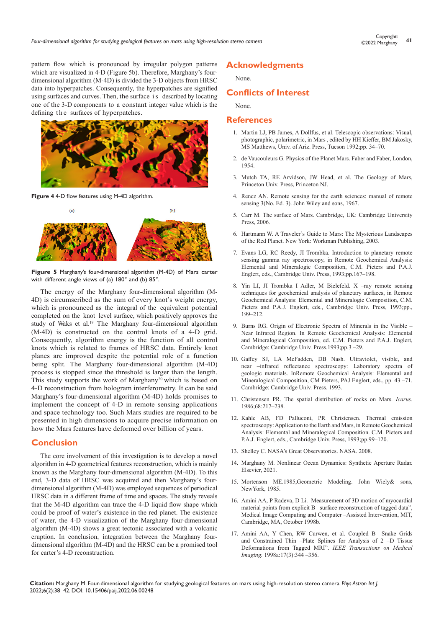pattern flow which is pronounced by irregular polygon patterns which are visualized in 4-D (Figure 5b). Therefore, Marghany's fourdimensional algorithm (M-4D) is divided the 3-D objects from HRSC data into hyperpatches. Consequently, the hyperpatches are signified using surfaces and curves. Then, the surface is described by locating one of the 3-D components to a constant integer value which is the defining the surfaces of hyperpatches.



**Figure 4** 4-D flow features using M-4D algorithm.



**Figure 5** Marghany's four-dimensional algorithm (M-4D) of Mars carter with different angle views of (a) 180° and (b) 85°.

The energy of the Marghany four-dimensional algorithm (M-4D) is circumscribed as the sum of every knot's weight energy, which is pronounced as the integral of the equivalent potential completed on the knot level surface, which positively approves the study of Waks et al.<sup>19</sup> The Marghany four-dimensional algorithm (M-4D) is constructed on the control knots of a 4-D grid. Consequently, algorithm energy is the function of all control knots which is related to frames of HRSC data. Entirely knot planes are improved despite the potential role of a function being split. The Marghany four-dimensional algorithm (M-4D) process is stopped since the threshold is larger than the length. This study supports the work of Marghany<sup>20</sup> which is based on 4-D reconstruction from hologram interferometry. It can be said Marghany's four-dimensional algorithm (M-4D) holds promises to implement the concept of 4-D in remote sensing applications and space technology too. Such Mars studies are required to be presented in high dimensions to acquire precise information on how the Mars features have deformed over billion of years.

#### **Conclusion**

The core involvement of this investigation is to develop a novel algorithm in 4-D geometrical features reconstruction, which is mainly known as the Marghany four-dimensional algorithm (M-4D). To this end, 3-D data of HRSC was acquired and then Marghany's fourdimensional algorithm (M-4D) was employed sequences of periodical HRSC data in a different frame of time and spaces. The study reveals that the M-4D algorithm can trace the 4-D liquid flow shape which could be proof of water's existence in the red planet. The existence of water, the 4-D visualization of the Marghany four-dimensional algorithm (M-4D) shows a great tectonic associated with a volcanic eruption. In conclusion, integration between the Marghany fourdimensional algorithm (M-4D) and the HRSC can be a promised tool for carter's 4-D reconstruction.

### **Acknowledgments**

None.

### **Conflicts of Interest**

None.

#### **References**

- 1. Martin LJ, PB James, A Dollfus, et al. Telescopic observations: Visual, photographic, polarimetric, in Mars , edited by HH Kieffer, BM Jakosky, MS Matthews, Univ. of Ariz. Press, Tucson 1992;pp. 34-70.
- 2. de Vaucouleurs G. Physics of the Planet Mars. Faber and Faber, London, 1954.
- 3. Mutch TA, RE Arvidson, JW Head, et al. The Geology of Mars, Princeton Univ. Press, Princeton NJ.
- 4. Rencz AN. Remote sensing for the earth sciences: manual of remote sensing 3(No. Ed. 3). John Wiley and sons, 1967.
- 5. Carr M. The surface of Mars. Cambridge, UK: Cambridge University Press, 2006.
- 6. Hartmann W. A Traveler's Guide to Mars: The Mysterious Landscapes of the Red Planet. New York: Workman Publishing, 2003.
- 7. Evans LG, RC Reedy, JI Trombka. Introduction to planetary remote sensing gamma ray spectroscopy, in Remote Geochemical Analysis: Elemental and Mineralogic Composition, C.M. Pieters and P.A.J. Englert, eds., Cambridge Univ. Press, 1993;pp.167-198.
- 8. Yin LI, JI Trombka I Adler, M Bielefeld. X -ray remote sensing techniques for geochemical analysis of planetary surfaces, in Remote Geochemical Analysis: Elemental and Mineralogic Composition, C.M. Pieters and P.A.J. Englert, eds., Cambridge Univ. Press, 1993;pp., 199‒212.
- 9. Burns RG. Origin of Electronic Spectra of Minerals in the Visible Near Infrared Region. In Remote Geochemical Analysis: Elemental and Mineralogical Composition, ed. C.M. Pieters and P.A.J. Englert, Cambridge: Cambridge Univ. Press.1993;pp.3 -29.
- 10. Gaffey SJ, LA McFadden, DB Nash. Ultraviolet, visible, and near  $\overline{-}$ infrared reflectance spectroscopy: Laboratory spectra of geologic materials. InRemote Geochemical Analysis: Elemental and Mineralogical Composition, CM Pieters, PAJ Englert, eds., pp. 43 –71. Cambridge: Cambridge Univ. Press. 1993.
- 11. Christensen PR. The spatial distribution of rocks on Mars. *Icarus.* 1986;68:217‒238.
- 12. Kahle AB, FD Palluconi, PR Christensen. Thermal emission spectroscopy: Application to the Earth and Mars, in Remote Geochemical Analysis: Elemental and Mineralogical Composition. C.M. Pieters and P.A.J. Englert, eds., Cambridge Univ. Press, 1993;pp.99-120.
- 13. Shelley C. NASA's Great Observatories. NASA. 2008.
- 14. Marghany M. Nonlinear Ocean Dynamics: Synthetic Aperture Radar. Elsevier, 2021.
- 15. Mortenson ME.1985,Geometric Modeling. John Wiely& sons, NewYork, 1985.
- 16. Amini AA, P Radeva, D Li. Measurement of 3D motion of myocardial material points from explicit B –surface reconstruction of tagged data". Medical Image Computing and Computer -Assisted Intervention, MIT, Cambridge, MA, October 1998b.
- 17. Amini AA, Y Chen, RW Curwen, et al. Coupled B -Snake Grids and Constrained Thin --Plate Splines for Analysis of 2 --D Tissue Deformations from Tagged MRI". *IEEE Transactions on Medical Imaging.* 1998a:17(3):344 ‒356.

**Citation:** Marghany M. Four-dimensional algorithm for studying geological features on mars using high-resolution stereo camera. *Phys Astron Int J.* 2022;6(2):38‒42. DOI: [10.15406/paij.2022.06.00248](https://doi.org/10.15406/paij.2022.06.00248)